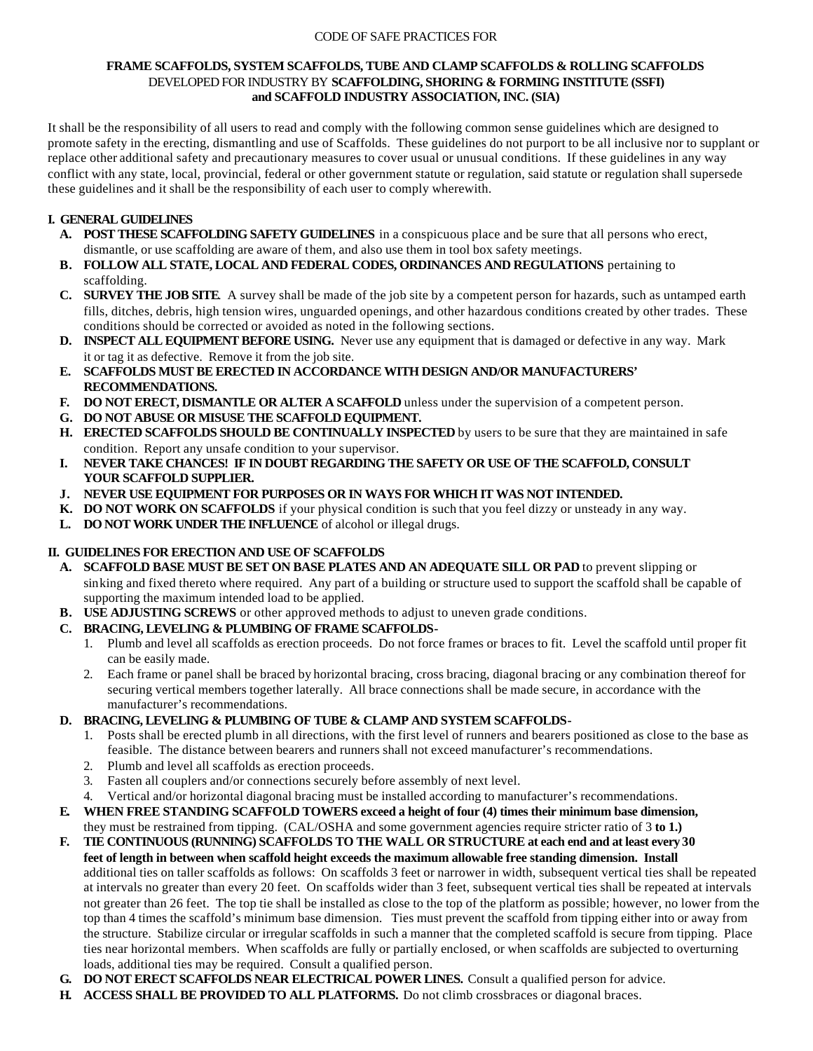#### CODE OF SAFE PRACTICES FOR

#### **FRAME SCAFFOLDS, SYSTEM SCAFFOLDS, TUBE AND CLAMP SCAFFOLDS & ROLLING SCAFFOLDS** DEVELOPED FOR INDUSTRY BY **SCAFFOLDING, SHORING & FORMING INSTITUTE (SSFI) and SCAFFOLD INDUSTRY ASSOCIATION, INC. (SIA)**

It shall be the responsibility of all users to read and comply with the following common sense guidelines which are designed to promote safety in the erecting, dismantling and use of Scaffolds. These guidelines do not purport to be all inclusive nor to supplant or replace other additional safety and precautionary measures to cover usual or unusual conditions. If these guidelines in any way conflict with any state, local, provincial, federal or other government statute or regulation, said statute or regulation shall supersede these guidelines and it shall be the responsibility of each user to comply wherewith.

# **I. GENERAL GUIDELINES**

- **A. POST THESE SCAFFOLDING SAFETY GUIDELINES** in a conspicuous place and be sure that all persons who erect, dismantle, or use scaffolding are aware of them, and also use them in tool box safety meetings.
- **B. FOLLOW ALL STATE, LOCAL AND FEDERAL CODES, ORDINANCES AND REGULATIONS** pertaining to scaffolding.
- **C. SURVEY THE JOB SITE**. A survey shall be made of the job site by a competent person for hazards, such as untamped earth fills, ditches, debris, high tension wires, unguarded openings, and other hazardous conditions created by other trades. These conditions should be corrected or avoided as noted in the following sections.
- **D. INSPECT ALL EQUIPMENT BEFORE USING.** Never use any equipment that is damaged or defective in any way. Mark it or tag it as defective. Remove it from the job site.
- **E. SCAFFOLDS MUST BE ERECTED IN ACCORDANCE WITH DESIGN AND/OR MANUFACTURERS' RECOMMENDATIONS.**
- **F. DO NOT ERECT, DISMANTLE OR ALTER A SCAFFOLD** unless under the supervision of a competent person.
- **G. DO NOT ABUSE OR MISUSE THE SCAFFOLD EQUIPMENT.**
- **H. ERECTED SCAFFOLDS SHOULD BE CONTINUALLY INSPECTED** by users to be sure that they are maintained in safe condition. Report any unsafe condition to your supervisor.
- **I. NEVER TAKE CHANCES! IF IN DOUBT REGARDING THE SAFETY OR USE OF THE SCAFFOLD, CONSULT YOUR SCAFFOLD SUPPLIER.**
- **J. NEVER USE EQUIPMENT FOR PURPOSES OR IN WAYS FOR WHICH IT WAS NOT INTENDED.**
- **K. DO NOT WORK ON SCAFFOLDS** if your physical condition is such that you feel dizzy or unsteady in any way.
- L. DO NOT WORK UNDER THE INFLUENCE of alcohol or illegal drugs.

## **II. GUIDELINES FOR ERECTION AND USE OF SCAFFOLDS**

- **A. SCAFFOLD BASE MUST BE SET ON BASE PLATES AND AN ADEQUATE SILL OR PAD** to prevent slipping or sinking and fixed thereto where required. Any part of a building or structure used to support the scaffold shall be capable of supporting the maximum intended load to be applied.
- **B. USE ADJUSTING SCREWS** or other approved methods to adjust to uneven grade conditions.
- **C. BRACING, LEVELING & PLUMBING OF FRAME SCAFFOLDS-**
	- 1. Plumb and level all scaffolds as erection proceeds. Do not force frames or braces to fit. Level the scaffold until proper fit can be easily made.
	- 2. Each frame or panel shall be braced by horizontal bracing, cross bracing, diagonal bracing or any combination thereof for securing vertical members together laterally. All brace connections shall be made secure, in accordance with the manufacturer's recommendations.

## **D. BRACING, LEVELING & PLUMBING OF TUBE & CLAMP AND SYSTEM SCAFFOLDS-**

- 1. Posts shall be erected plumb in all directions, with the first level of runners and bearers positioned as close to the base as feasible. The distance between bearers and runners shall not exceed manufacturer's recommendations.
- 2. Plumb and level all scaffolds as erection proceeds.
- 3. Fasten all couplers and/or connections securely before assembly of next level.
- 4. Vertical and/or horizontal diagonal bracing must be installed according to manufacturer's recommendations.
- **E. WHEN FREE STANDING SCAFFOLD TOWERS exceed a height of four (4) times their minimum base dimension,** they must be restrained from tipping. (CAL/OSHA and some government agencies require stricter ratio of 3 **to 1.)**
- **F. TIE CONTINUOUS (RUNNING) SCAFFOLDS TO THE WALL OR STRUCTURE at each end and at least every 30 feet of length in between when scaffold height exceeds the maximum allowable free standing dimension. Install** additional ties on taller scaffolds as follows: On scaffolds 3 feet or narrower in width, subsequent vertical ties shall be repeated at intervals no greater than every 20 feet. On scaffolds wider than 3 feet, subsequent vertical ties shall be repeated at intervals not greater than 26 feet. The top tie shall be installed as close to the top of the platform as possible; however, no lower from the top than 4 times the scaffold's minimum base dimension. Ties must prevent the scaffold from tipping either into or away from the structure. Stabilize circular or irregular scaffolds in such a manner that the completed scaffold is secure from tipping. Place ties near horizontal members. When scaffolds are fully or partially enclosed, or when scaffolds are subjected to overturning loads, additional ties may be required. Consult a qualified person.
- **G. DO NOT ERECT SCAFFOLDS NEAR ELECTRICAL POWER LINES.** Consult a qualified person for advice.
- **H. ACCESS SHALL BE PROVIDED TO ALL PLATFORMS.** Do not climb crossbraces or diagonal braces.